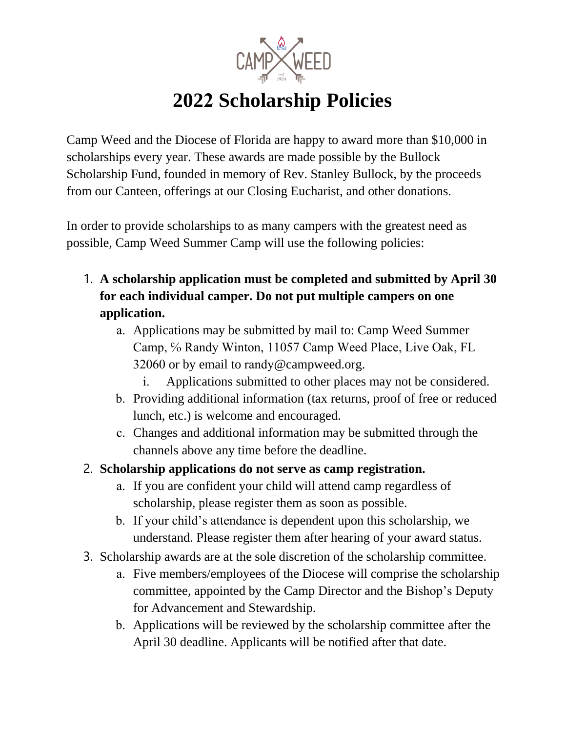

## **2022 Scholarship Policies**

Camp Weed and the Diocese of Florida are happy to award more than \$10,000 in scholarships every year. These awards are made possible by the Bullock Scholarship Fund, founded in memory of Rev. Stanley Bullock, by the proceeds from our Canteen, offerings at our Closing Eucharist, and other donations.

In order to provide scholarships to as many campers with the greatest need as possible, Camp Weed Summer Camp will use the following policies:

- 1. **A scholarship application must be completed and submitted by April 30 for each individual camper. Do not put multiple campers on one application.**
	- a. Applications may be submitted by mail to: Camp Weed Summer Camp, ℅ Randy Winton, 11057 Camp Weed Place, Live Oak, FL 32060 or by email to randy@campweed.org.
		- i. Applications submitted to other places may not be considered.
	- b. Providing additional information (tax returns, proof of free or reduced lunch, etc.) is welcome and encouraged.
	- c. Changes and additional information may be submitted through the channels above any time before the deadline.
- 2. **Scholarship applications do not serve as camp registration.**
	- a. If you are confident your child will attend camp regardless of scholarship, please register them as soon as possible.
	- b. If your child's attendance is dependent upon this scholarship, we understand. Please register them after hearing of your award status.
- 3. Scholarship awards are at the sole discretion of the scholarship committee.
	- a. Five members/employees of the Diocese will comprise the scholarship committee, appointed by the Camp Director and the Bishop's Deputy for Advancement and Stewardship.
	- b. Applications will be reviewed by the scholarship committee after the April 30 deadline. Applicants will be notified after that date.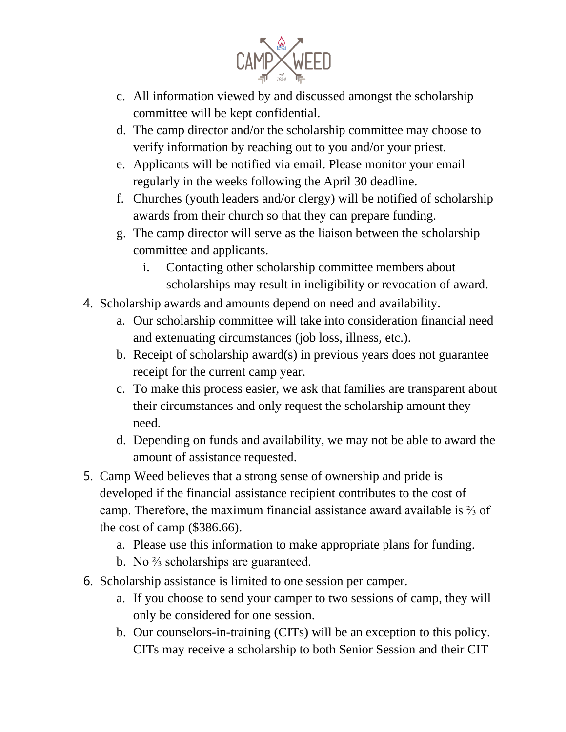

- c. All information viewed by and discussed amongst the scholarship committee will be kept confidential.
- d. The camp director and/or the scholarship committee may choose to verify information by reaching out to you and/or your priest.
- e. Applicants will be notified via email. Please monitor your email regularly in the weeks following the April 30 deadline.
- f. Churches (youth leaders and/or clergy) will be notified of scholarship awards from their church so that they can prepare funding.
- g. The camp director will serve as the liaison between the scholarship committee and applicants.
	- i. Contacting other scholarship committee members about scholarships may result in ineligibility or revocation of award.
- 4. Scholarship awards and amounts depend on need and availability.
	- a. Our scholarship committee will take into consideration financial need and extenuating circumstances (job loss, illness, etc.).
	- b. Receipt of scholarship award(s) in previous years does not guarantee receipt for the current camp year.
	- c. To make this process easier, we ask that families are transparent about their circumstances and only request the scholarship amount they need.
	- d. Depending on funds and availability, we may not be able to award the amount of assistance requested.
- 5. Camp Weed believes that a strong sense of ownership and pride is developed if the financial assistance recipient contributes to the cost of camp. Therefore, the maximum financial assistance award available is ⅔ of the cost of camp (\$386.66).
	- a. Please use this information to make appropriate plans for funding.
	- b. No <sup>2</sup>⁄<sub>3</sub> scholarships are guaranteed.
- 6. Scholarship assistance is limited to one session per camper.
	- a. If you choose to send your camper to two sessions of camp, they will only be considered for one session.
	- b. Our counselors-in-training (CITs) will be an exception to this policy. CITs may receive a scholarship to both Senior Session and their CIT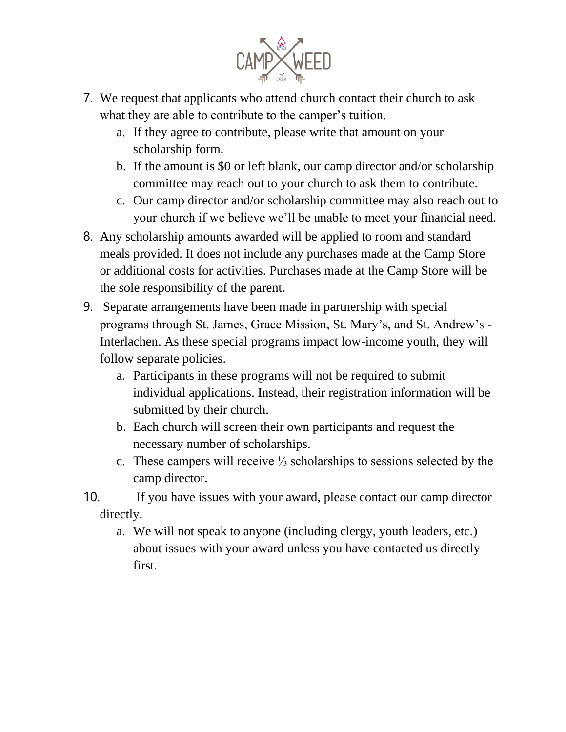

- 7. We request that applicants who attend church contact their church to ask what they are able to contribute to the camper's tuition.
	- a. If they agree to contribute, please write that amount on your scholarship form.
	- b. If the amount is \$0 or left blank, our camp director and/or scholarship committee may reach out to your church to ask them to contribute.
	- c. Our camp director and/or scholarship committee may also reach out to your church if we believe we'll be unable to meet your financial need.
- 8. Any scholarship amounts awarded will be applied to room and standard meals provided. It does not include any purchases made at the Camp Store or additional costs for activities. Purchases made at the Camp Store will be the sole responsibility of the parent.
- 9. Separate arrangements have been made in partnership with special programs through St. James, Grace Mission, St. Mary's, and St. Andrew's - Interlachen. As these special programs impact low-income youth, they will follow separate policies.
	- a. Participants in these programs will not be required to submit individual applications. Instead, their registration information will be submitted by their church.
	- b. Each church will screen their own participants and request the necessary number of scholarships.
	- c. These campers will receive ⅓ scholarships to sessions selected by the camp director.
- 10. If you have issues with your award, please contact our camp director directly.
	- a. We will not speak to anyone (including clergy, youth leaders, etc.) about issues with your award unless you have contacted us directly first.